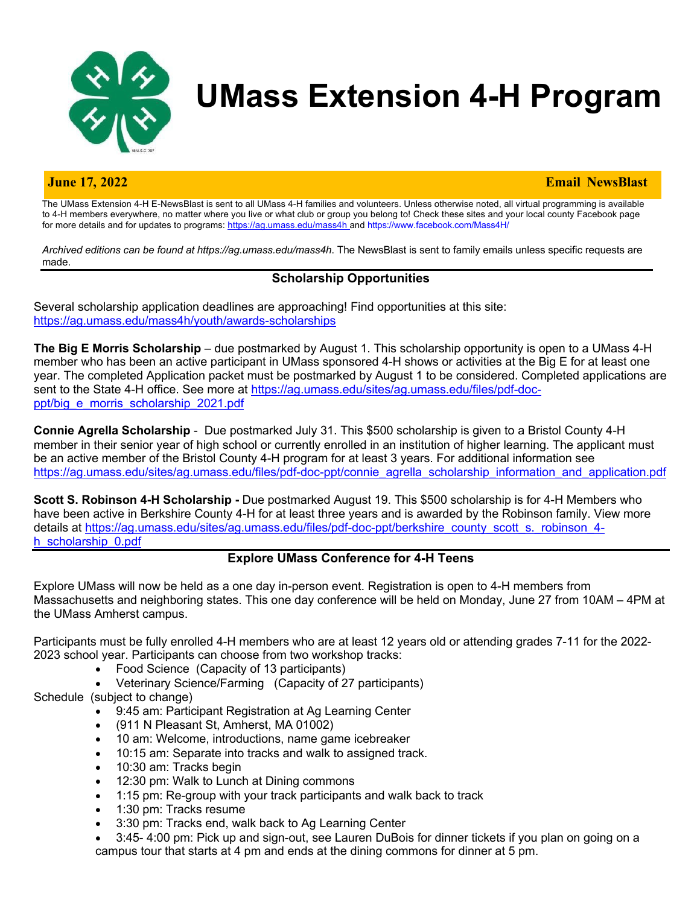

## **UMass Extension 4-H Program**

#### **June 17, 2022 Email NewsBlast**

The UMass Extension 4-H E-NewsBlast is sent to all UMass 4-H families and volunteers. Unless otherwise noted, all virtual programming is available to 4-H members everywhere, no matter where you live or what club or group you belong to! Check these sites and your local county Facebook page for more details and for updates to programs: https://ag.umass.edu/mass4h and https://www.facebook.com/Mass4H/

*Archived editions can be found at https://ag.umass.edu/mass4h*. The NewsBlast is sent to family emails unless specific requests are made.

#### **Scholarship Opportunities**

Several scholarship application deadlines are approaching! Find opportunities at this site: https://ag.umass.edu/mass4h/youth/awards-scholarships

**The Big E Morris Scholarship** – due postmarked by August 1. This scholarship opportunity is open to a UMass 4-H member who has been an active participant in UMass sponsored 4-H shows or activities at the Big E for at least one year. The completed Application packet must be postmarked by August 1 to be considered. Completed applications are sent to the State 4-H office. See more at https://ag.umass.edu/sites/ag.umass.edu/files/pdf-docppt/big\_e\_morris\_scholarship\_2021.pdf

**Connie Agrella Scholarship** - Due postmarked July 31. This \$500 scholarship is given to a Bristol County 4-H member in their senior year of high school or currently enrolled in an institution of higher learning. The applicant must be an active member of the Bristol County 4-H program for at least 3 years. For additional information see https://ag.umass.edu/sites/ag.umass.edu/files/pdf-doc-ppt/connie\_agrella\_scholarship\_information\_and\_application.pdf

**Scott S. Robinson 4-H Scholarship -** Due postmarked August 19. This \$500 scholarship is for 4-H Members who have been active in Berkshire County 4-H for at least three years and is awarded by the Robinson family. View more details at https://ag.umass.edu/sites/ag.umass.edu/files/pdf-doc-ppt/berkshire\_county\_scott\_s.\_robinson\_4h\_scholarship\_0.pdf

#### **Explore UMass Conference for 4-H Teens**

Explore UMass will now be held as a one day in-person event. Registration is open to 4-H members from Massachusetts and neighboring states. This one day conference will be held on Monday, June 27 from 10AM – 4PM at the UMass Amherst campus.

Participants must be fully enrolled 4-H members who are at least 12 years old or attending grades 7-11 for the 2022- 2023 school year. Participants can choose from two workshop tracks:

- Food Science (Capacity of 13 participants)
- Veterinary Science/Farming (Capacity of 27 participants)

Schedule (subject to change)

- 9:45 am: Participant Registration at Ag Learning Center
- (911 N Pleasant St, Amherst, MA 01002)
- 10 am: Welcome, introductions, name game icebreaker
- 10:15 am: Separate into tracks and walk to assigned track.
- 10:30 am: Tracks begin
- 12:30 pm: Walk to Lunch at Dining commons
- 1:15 pm: Re-group with your track participants and walk back to track
- 1:30 pm: Tracks resume
- 3:30 pm: Tracks end, walk back to Ag Learning Center

• 3:45- 4:00 pm: Pick up and sign-out, see Lauren DuBois for dinner tickets if you plan on going on a campus tour that starts at 4 pm and ends at the dining commons for dinner at 5 pm.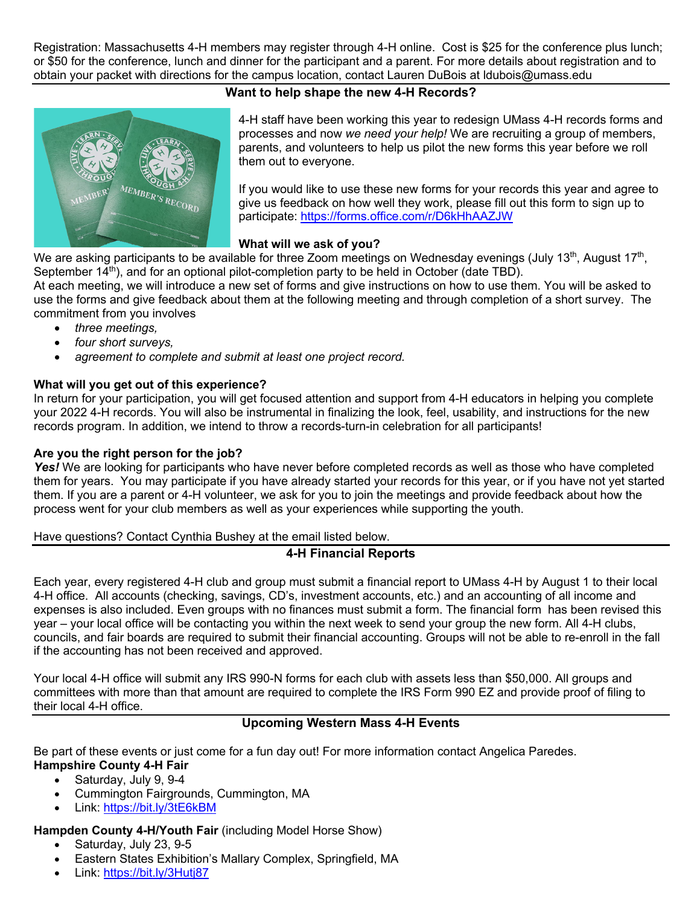Registration: Massachusetts 4-H members may register through 4-H online. Cost is \$25 for the conference plus lunch; or \$50 for the conference, lunch and dinner for the participant and a parent. For more details about registration and to obtain your packet with directions for the campus location, contact Lauren DuBois at ldubois@umass.edu

#### **Want to help shape the new 4-H Records?**



4-H staff have been working this year to redesign UMass 4-H records forms and processes and now *we need your help!* We are recruiting a group of members, parents, and volunteers to help us pilot the new forms this year before we roll them out to everyone.

If you would like to use these new forms for your records this year and agree to give us feedback on how well they work, please fill out this form to sign up to participate: https://forms.office.com/r/D6kHhAAZJW

#### **What will we ask of you?**

We are asking participants to be available for three Zoom meetings on Wednesday evenings (July 13<sup>th</sup>, August 17<sup>th</sup>, September  $14<sup>th</sup>$ ), and for an optional pilot-completion party to be held in October (date TBD).

At each meeting, we will introduce a new set of forms and give instructions on how to use them. You will be asked to use the forms and give feedback about them at the following meeting and through completion of a short survey. The commitment from you involves

- *three meetings,*
- *four short surveys,*
- *agreement to complete and submit at least one project record.*

#### **What will you get out of this experience?**

In return for your participation, you will get focused attention and support from 4-H educators in helping you complete your 2022 4-H records. You will also be instrumental in finalizing the look, feel, usability, and instructions for the new records program. In addition, we intend to throw a records-turn-in celebration for all participants!

#### **Are you the right person for the job?**

*Yes!* We are looking for participants who have never before completed records as well as those who have completed them for years. You may participate if you have already started your records for this year, or if you have not yet started them. If you are a parent or 4-H volunteer, we ask for you to join the meetings and provide feedback about how the process went for your club members as well as your experiences while supporting the youth.

#### Have questions? Contact Cynthia Bushey at the email listed below.

#### **4-H Financial Reports**

Each year, every registered 4-H club and group must submit a financial report to UMass 4-H by August 1 to their local 4-H office. All accounts (checking, savings, CD's, investment accounts, etc.) and an accounting of all income and expenses is also included. Even groups with no finances must submit a form. The financial form has been revised this year – your local office will be contacting you within the next week to send your group the new form. All 4-H clubs, councils, and fair boards are required to submit their financial accounting. Groups will not be able to re-enroll in the fall if the accounting has not been received and approved.

Your local 4-H office will submit any IRS 990-N forms for each club with assets less than \$50,000. All groups and committees with more than that amount are required to complete the IRS Form 990 EZ and provide proof of filing to their local 4-H office.

### **Upcoming Western Mass 4-H Events**

Be part of these events or just come for a fun day out! For more information contact Angelica Paredes. **Hampshire County 4-H Fair**

- Saturday, July 9, 9-4
- Cummington Fairgrounds, Cummington, MA
- Link: https://bit.ly/3tE6kBM

#### **Hampden County 4-H/Youth Fair** (including Model Horse Show)

- Saturday, July 23, 9-5
- Eastern States Exhibition's Mallary Complex, Springfield, MA
- Link: https://bit.ly/3Hutj87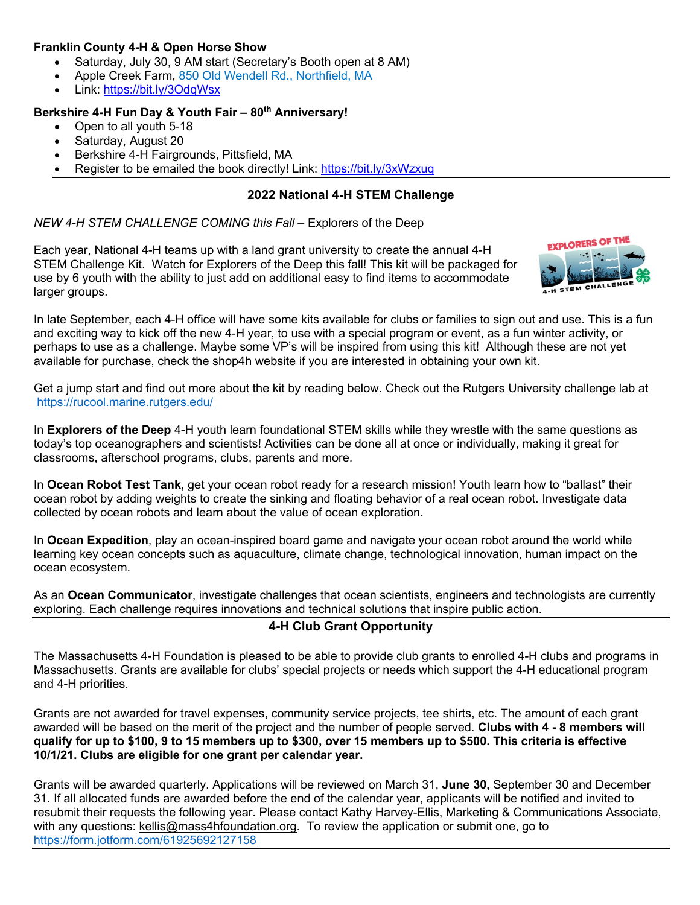#### **Franklin County 4-H & Open Horse Show**

- Saturday, July 30, 9 AM start (Secretary's Booth open at 8 AM)
- Apple Creek Farm, 850 Old Wendell Rd., Northfield, MA
- Link: https://bit.ly/3OdqWsx

#### **Berkshire 4-H Fun Day & Youth Fair – 80th Anniversary!**

- Open to all youth 5-18
- Saturday, August 20
- Berkshire 4-H Fairgrounds, Pittsfield, MA
- Register to be emailed the book directly! Link: https://bit.ly/3xWzxuq

#### **2022 National 4-H STEM Challenge**

#### *NEW 4-H STEM CHALLENGE COMING this Fall* – Explorers of the Deep

Each year, National 4-H teams up with a land grant university to create the annual 4-H STEM Challenge Kit. Watch for Explorers of the Deep this fall! This kit will be packaged for use by 6 youth with the ability to just add on additional easy to find items to accommodate larger groups.



In late September, each 4-H office will have some kits available for clubs or families to sign out and use. This is a fun and exciting way to kick off the new 4-H year, to use with a special program or event, as a fun winter activity, or perhaps to use as a challenge. Maybe some VP's will be inspired from using this kit! Although these are not yet available for purchase, check the shop4h website if you are interested in obtaining your own kit.

Get a jump start and find out more about the kit by reading below. Check out the Rutgers University challenge lab at https://rucool.marine.rutgers.edu/

In **Explorers of the Deep** 4-H youth learn foundational STEM skills while they wrestle with the same questions as today's top oceanographers and scientists! Activities can be done all at once or individually, making it great for classrooms, afterschool programs, clubs, parents and more.

In **Ocean Robot Test Tank**, get your ocean robot ready for a research mission! Youth learn how to "ballast" their ocean robot by adding weights to create the sinking and floating behavior of a real ocean robot. Investigate data collected by ocean robots and learn about the value of ocean exploration.

In **Ocean Expedition**, play an ocean-inspired board game and navigate your ocean robot around the world while learning key ocean concepts such as aquaculture, climate change, technological innovation, human impact on the ocean ecosystem.

As an **Ocean Communicator**, investigate challenges that ocean scientists, engineers and technologists are currently exploring. Each challenge requires innovations and technical solutions that inspire public action.

#### **4-H Club Grant Opportunity**

The Massachusetts 4-H Foundation is pleased to be able to provide club grants to enrolled 4-H clubs and programs in Massachusetts. Grants are available for clubs' special projects or needs which support the 4-H educational program and 4-H priorities.

Grants are not awarded for travel expenses, community service projects, tee shirts, etc. The amount of each grant awarded will be based on the merit of the project and the number of people served. **Clubs with 4 - 8 members will qualify for up to \$100, 9 to 15 members up to \$300, over 15 members up to \$500. This criteria is effective 10/1/21. Clubs are eligible for one grant per calendar year.**

Grants will be awarded quarterly. Applications will be reviewed on March 31, **June 30,** September 30 and December 31. If all allocated funds are awarded before the end of the calendar year, applicants will be notified and invited to resubmit their requests the following year. Please contact Kathy Harvey-Ellis, Marketing & Communications Associate, with any questions: kellis@mass4hfoundation.org. To review the application or submit one, go to https://form.jotform.com/61925692127158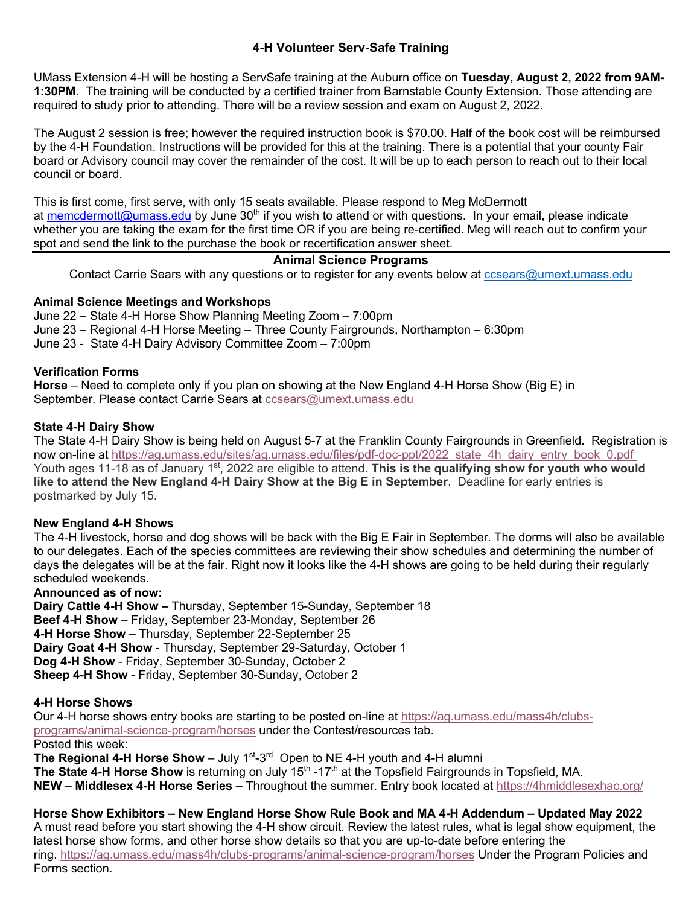#### **4-H Volunteer Serv-Safe Training**

UMass Extension 4-H will be hosting a ServSafe training at the Auburn office on **Tuesday, August 2, 2022 from 9AM-1:30PM.** The training will be conducted by a certified trainer from Barnstable County Extension. Those attending are required to study prior to attending. There will be a review session and exam on August 2, 2022.

The August 2 session is free; however the required instruction book is \$70.00. Half of the book cost will be reimbursed by the 4-H Foundation. Instructions will be provided for this at the training. There is a potential that your county Fair board or Advisory council may cover the remainder of the cost. It will be up to each person to reach out to their local council or board.

This is first come, first serve, with only 15 seats available. Please respond to Meg McDermott at memcdermott@umass.edu by June 30<sup>th</sup> if you wish to attend or with questions. In your email, please indicate whether you are taking the exam for the first time OR if you are being re-certified. Meg will reach out to confirm your spot and send the link to the purchase the book or recertification answer sheet.

#### **Animal Science Programs**

Contact Carrie Sears with any questions or to register for any events below at ccsears@umext.umass.edu

#### **Animal Science Meetings and Workshops**

June 22 – State 4-H Horse Show Planning Meeting Zoom – 7:00pm June 23 – Regional 4-H Horse Meeting – Three County Fairgrounds, Northampton – 6:30pm June 23 - State 4-H Dairy Advisory Committee Zoom – 7:00pm

#### **Verification Forms**

**Horse** – Need to complete only if you plan on showing at the New England 4-H Horse Show (Big E) in September. Please contact Carrie Sears at ccsears@umext.umass.edu

#### **State 4-H Dairy Show**

The State 4-H Dairy Show is being held on August 5-7 at the Franklin County Fairgrounds in Greenfield. Registration is now on-line at https://ag.umass.edu/sites/ag.umass.edu/files/pdf-doc-ppt/2022\_state\_4h\_dairy\_entry\_book\_0.pdf Youth ages 11-18 as of January 1<sup>st</sup>, 2022 are eligible to attend. **This is the qualifying show for youth who would like to attend the New England 4-H Dairy Show at the Big E in September**. Deadline for early entries is postmarked by July 15.

#### **New England 4-H Shows**

The 4-H livestock, horse and dog shows will be back with the Big E Fair in September. The dorms will also be available to our delegates. Each of the species committees are reviewing their show schedules and determining the number of days the delegates will be at the fair. Right now it looks like the 4-H shows are going to be held during their regularly scheduled weekends.

#### **Announced as of now:**

**Dairy Cattle 4-H Show –** Thursday, September 15-Sunday, September 18 **Beef 4-H Show** – Friday, September 23-Monday, September 26 **4-H Horse Show** – Thursday, September 22-September 25 **Dairy Goat 4-H Show** - Thursday, September 29-Saturday, October 1 **Dog 4-H Show** - Friday, September 30-Sunday, October 2 **Sheep 4-H Show** - Friday, September 30-Sunday, October 2

#### **4-H Horse Shows**

Our 4-H horse shows entry books are starting to be posted on-line at https://ag.umass.edu/mass4h/clubsprograms/animal-science-program/horses under the Contest/resources tab. Posted this week:

**The Regional 4-H Horse Show** – July 1<sup>st</sup>-3<sup>rd</sup> Open to NE 4-H youth and 4-H alumni

The State 4-H Horse Show is returning on July 15<sup>th</sup> -17<sup>th</sup> at the Topsfield Fairgrounds in Topsfield, MA. **NEW** – **Middlesex 4-H Horse Series** – Throughout the summer. Entry book located at https://4hmiddlesexhac.org/

**Horse Show Exhibitors – New England Horse Show Rule Book and MA 4-H Addendum – Updated May 2022** A must read before you start showing the 4-H show circuit. Review the latest rules, what is legal show equipment, the latest horse show forms, and other horse show details so that you are up-to-date before entering the ring. https://ag.umass.edu/mass4h/clubs-programs/animal-science-program/horses Under the Program Policies and Forms section.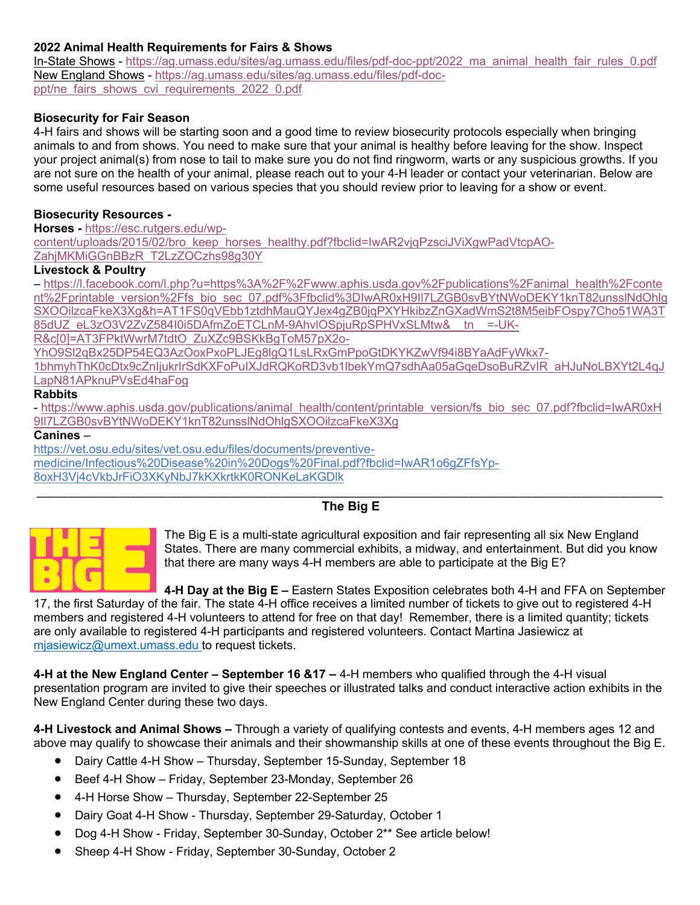#### **2022 Animal Health Requirements for Fairs & Shows**

In-State Shows - https://ag.umass.edu/sites/ag.umass.edu/files/pdf-doc-ppt/2022\_ma\_animal\_health\_fair\_rules\_0.pdf New England Shows - https://ag.umass.edu/sites/ag.umass.edu/files/pdf-docppt/ne\_fairs\_shows\_cvi\_requirements\_2022\_0.pdf

#### **Biosecurity for Fair Season**

4-H fairs and shows will be starting soon and a good time to review biosecurity protocols especially when bringing animals to and from shows. You need to make sure that your animal is healthy before leaving for the show. Inspect your project animal(s) from nose to tail to make sure you do not find ringworm, warts or any suspicious growths. If you are not sure on the health of your animal, please reach out to your 4-H leader or contact your veterinarian. Below are some useful resources based on various species that you should review prior to leaving for a show or event.

#### **Biosecurity Resources -**

**Horses -** https://esc.rutgers.edu/wpcontent/uploads/2015/02/bro\_keep\_horses\_healthy.pdf?fbclid=IwAR2vjqPzsciJViXgwPadVtcpAO-ZahjMKMiGGnBBzR\_T2LzZOCzhs98g30Y

#### **Livestock & Poultry**

– https://l.facebook.com/l.php?u=https%3A%2F%2Fwww.aphis.usda.gov%2Fpublications%2Fanimal\_health%2Fconte nt%2Fprintable\_version%2Ffs\_bio\_sec\_07.pdf%3Ffbclid%3DIwAR0xH9II7LZGB0svBYtNWoDEKY1knT82unsslNdOhlg SXOOilzcaFkeX3Xg&h=AT1FS0qVEbb1ztdhMauQYJex4gZB0jqPXYHkibzZnGXadWmS2t8M5eibFOspy7Cho51WA3T 85dUZ\_eL3zO3V2ZvZ584I0i5DAfmZoETCLnM-9AhvlOSpjuRpSPHVxSLMtw&\_tn\_\_=-UK-

R&c[0]=AT3FPktWwrM7tdtO\_ZuXZc9BSKkBgToM57pX2o-

YhO9Sl2qBx25DP54EQ3AzOoxPxoPLJEg8lgQ1LsLRxGmPpoGtDKYKZwVf94i8BYaAdFyWkx7-

1bhmyhThK0cDtx9cZnIjukrIrSdKXFoPuIXJdRQKoRD3vb1lbekYmQ7sdhAa05aGqeDsoBuRZvIR\_aHJuNoLBXYt2L4qJ LapN81APknuPVsEd4haFog

#### **Rabbits**

- https://www.aphis.usda.gov/publications/animal\_health/content/printable\_version/fs\_bio\_sec\_07.pdf?fbclid=IwAR0xH 9Il7LZGB0svBYtNWoDEKY1knT82unsslNdOhlgSXOOilzcaFkeX3Xg

#### **Canines** –

https://vet.osu.edu/sites/vet.osu.edu/files/documents/preventivemedicine/Infectious%20Disease%20in%20Dogs%20Final.pdf?fbclid=IwAR1o6gZFfsYp-8oxH3Vj4cVkbJrFiO3XKyNbJ7kKXkrtkK0RONKeLaKGDlk

#### \_\_\_\_\_\_\_\_\_\_\_\_\_\_\_\_\_\_\_\_\_\_\_\_\_\_\_\_\_\_\_\_\_\_\_\_\_\_\_\_\_\_\_\_\_\_\_\_\_\_\_\_\_\_\_\_\_\_\_\_\_\_\_\_\_\_\_\_\_\_\_\_\_\_\_\_\_\_\_\_\_\_\_\_\_\_\_\_\_\_\_\_\_\_\_\_\_\_\_\_ **The Big E**



The Big E is a multi-state agricultural exposition and fair representing all six New England States. There are many commercial exhibits, a midway, and entertainment. But did you know that there are many ways 4-H members are able to participate at the Big E?

**4-H Day at the Big E –** Eastern States Exposition celebrates both 4-H and FFA on September 17, the first Saturday of the fair. The state 4-H office receives a limited number of tickets to give out to registered 4-H members and registered 4-H volunteers to attend for free on that day! Remember, there is a limited quantity; tickets are only available to registered 4-H participants and registered volunteers. Contact Martina Jasiewicz at mjasiewicz@umext.umass.edu to request tickets.

**4-H at the New England Center – September 16 &17 –** 4-H members who qualified through the 4-H visual presentation program are invited to give their speeches or illustrated talks and conduct interactive action exhibits in the New England Center during these two days.

**4-H Livestock and Animal Shows –** Through a variety of qualifying contests and events, 4-H members ages 12 and above may qualify to showcase their animals and their showmanship skills at one of these events throughout the Big E.

- Dairy Cattle 4-H Show Thursday, September 15-Sunday, September 18
- Beef 4-H Show Friday, September 23-Monday, September 26
- 4-H Horse Show Thursday, September 22-September 25
- Dairy Goat 4-H Show Thursday, September 29-Saturday, October 1
- Dog 4-H Show Friday, September 30-Sunday, October 2\*\* See article below!
- Sheep 4-H Show Friday, September 30-Sunday, October 2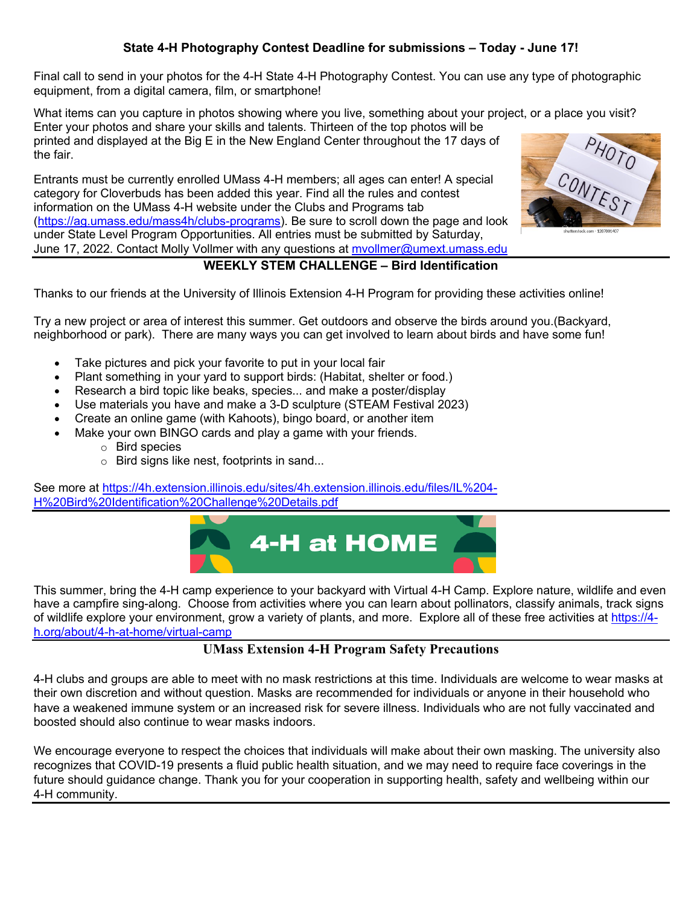### **State 4-H Photography Contest Deadline for submissions – Today - June 17!**

Final call to send in your photos for the 4-H State 4-H Photography Contest. You can use any type of photographic equipment, from a digital camera, film, or smartphone!

What items can you capture in photos showing where you live, something about your project, or a place you visit? Enter your photos and share your skills and talents. Thirteen of the top photos will be

printed and displayed at the Big E in the New England Center throughout the 17 days of the fair.

Entrants must be currently enrolled UMass 4-H members; all ages can enter! A special category for Cloverbuds has been added this year. Find all the rules and contest information on the UMass 4-H website under the Clubs and Programs tab (https://ag.umass.edu/mass4h/clubs-programs). Be sure to scroll down the page and look under State Level Program Opportunities. All entries must be submitted by Saturday, June 17, 2022. Contact Molly Vollmer with any questions at myollmer@umext.umass.edu

# PHOTO

#### **WEEKLY STEM CHALLENGE – Bird Identification**

Thanks to our friends at the University of Illinois Extension 4-H Program for providing these activities online!

Try a new project or area of interest this summer. Get outdoors and observe the birds around you.(Backyard, neighborhood or park). There are many ways you can get involved to learn about birds and have some fun!

- Take pictures and pick your favorite to put in your local fair
- Plant something in your yard to support birds: (Habitat, shelter or food.)
- Research a bird topic like beaks, species... and make a poster/display
- Use materials you have and make a 3-D sculpture (STEAM Festival 2023)
- Create an online game (with Kahoots), bingo board, or another item
- Make your own BINGO cards and play a game with your friends.
	- o Bird species
		- o Bird signs like nest, footprints in sand...

See more at https://4h.extension.illinois.edu/sites/4h.extension.illinois.edu/files/IL%204- H%20Bird%20Identification%20Challenge%20Details.pdf



This summer, bring the 4-H camp experience to your backyard with Virtual 4-H Camp. Explore nature, wildlife and even have a campfire sing-along. Choose from activities where you can learn about pollinators, classify animals, track signs of wildlife explore your environment, grow a variety of plants, and more. Explore all of these free activities at https://4 h.org/about/4-h-at-home/virtual-camp

#### **UMass Extension 4-H Program Safety Precautions**

4-H clubs and groups are able to meet with no mask restrictions at this time. Individuals are welcome to wear masks at their own discretion and without question. Masks are recommended for individuals or anyone in their household who have a weakened immune system or an increased risk for severe illness. Individuals who are not fully vaccinated and boosted should also continue to wear masks indoors.

We encourage everyone to respect the choices that individuals will make about their own masking. The university also recognizes that COVID-19 presents a fluid public health situation, and we may need to require face coverings in the future should guidance change. Thank you for your cooperation in supporting health, safety and wellbeing within our 4-H community.